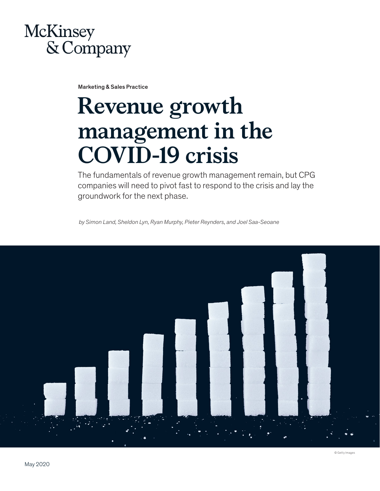# McKinsey & Company

Marketing & Sales Practice

# **Revenue growth management in the COVID-19 crisis**

The fundamentals of revenue growth management remain, but CPG companies will need to pivot fast to respond to the crisis and lay the groundwork for the next phase.

*by Simon Land, Sheldon Lyn, Ryan Murphy, Pieter Reynders, and Joel Saa-Seoane*

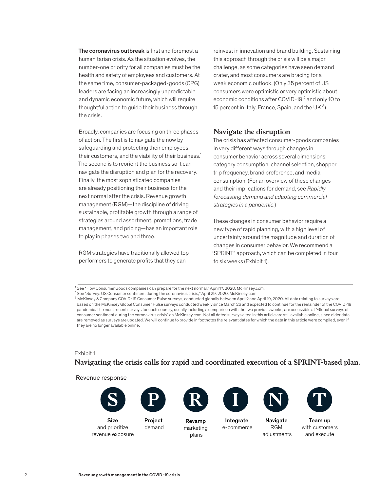The coronavirus outbreak is first and foremost a humanitarian crisis. As the situation evolves, the number-one priority for all companies must be the health and safety of employees and customers. At the same time, consumer-packaged-goods (CPG) leaders are facing an increasingly unpredictable and dynamic economic future, which will require thoughtful action to guide their business through the crisis.

Broadly, companies are focusing on three phases of action. The first is to navigate the now by safeguarding and protecting their employees, their customers, and the viability of their business.<sup>1</sup> The second is to reorient the business so it can navigate the disruption and plan for the recovery. Finally, the most sophisticated companies are already positioning their business for the next normal after the crisis. Revenue growth management (RGM)—the discipline of driving sustainable, profitable growth through a range of strategies around assortment, promotions, trade management, and pricing—has an important role to play in phases two and three.

RGM strategies have traditionally allowed top performers to generate profits that they can

reinvest in innovation and brand building. Sustaining this approach through the crisis will be a major challenge, as some categories have seen demand crater, and most consumers are bracing for a weak economic outlook. (Only 35 percent of US consumers were optimistic or very optimistic about economic conditions after COVID-19,<sup>2</sup> and only 10 to 15 percent in Italy, France, Spain, and the UK. $3$ )

#### **Navigate the disruption**

The crisis has affected consumer-goods companies in very different ways through changes in consumer behavior across several dimensions: category consumption, channel selection, shopper trip frequency, brand preference, and media consumption. (For an overview of these changes and their implications for demand, see *Rapidly forecasting demand and adapting commercial strategies in a pandemic*.)

These changes in consumer behavior require a new type of rapid planning, with a high level of uncertainty around the magnitude and duration of changes in consumer behavior. We recommend a "SPRINT" approach, which can be completed in four to six weeks (Exhibit 1).

#### Exhibit 1 Navigating the crisis calls for rapid and coordinated execution of a SPRINT-based plan.  $\mathsf{Exhibit}\ 1$

Revenue response



Size and prioritize revenue exposure



Revamp marketing plans



Integrate e-commerce



Navigate RGM adjustments



Team up with customers and execute

Project demand

<sup>&</sup>lt;sup>1</sup> See "How Consumer Goods companies can prepare for the next normal," April 17, 2020, McKinsey.com.

 $2$ See "Survey: US Consumer sentiment during the coronavirus crisis," April 29, 2020, McKinsey.com.

 $^3$  McKinsey & Company COVID-19 Consumer Pulse surveys, conducted globally between April 2 and April 19, 2020. All data relating to surveys are based on the McKinsey Global Consumer Pulse surveys conducted weekly since March 26 and expected to continue for the remainder of the COVID-19 pandemic. The most recent surveys for each country, usually including a comparison with the two previous weeks, are accessible at "Global surveys of consumer sentiment during the coronavirus crisis" on McKinsey.com. Not all dated surveys cited in this article are still available online, since older data are removed as surveys are updated. We will continue to provide in footnotes the relevant dates for which the data in this article were compiled, even if they are no longer available online.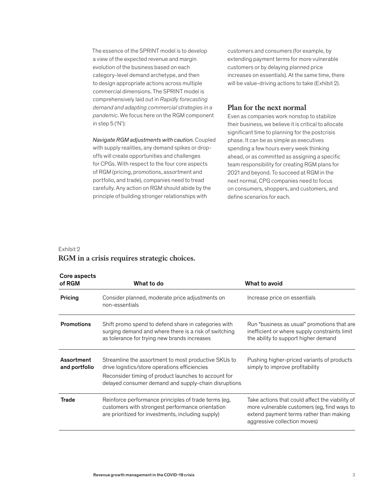The essence of the SPRINT model is to develop a view of the expected revenue and margin evolution of the business based on each category-level demand archetype, and then to design appropriate actions across multiple commercial dimensions. The SPRINT model is comprehensively laid out in *Rapidly forecasting demand and adapting commercial strategies in a pandemic*. We focus here on the RGM component in step 5 ('N'):

*Navigate RGM adjustments with caution.* Coupled with supply realities, any demand spikes or dropoffs will create opportunities and challenges for CPGs. With respect to the four core aspects of RGM (pricing, promotions, assortment and portfolio, and trade), companies need to tread carefully. Any action on RGM should abide by the principle of building stronger relationships with

customers and consumers (for example, by extending payment terms for more vulnerable customers or by delaying planned price increases on essentials). At the same time, there will be value-driving actions to take (Exhibit 2).

### **Plan for the next normal**

Even as companies work nonstop to stabilize their business, we believe it is critical to allocate significant time to planning for the postcrisis phase. It can be as simple as executives spending a few hours every week thinking ahead, or as committed as assigning a specific team responsibility for creating RGM plans for 2021 and beyond. To succeed at RGM in the next normal, CPG companies need to focus on consumers, shoppers, and customers, and define scenarios for each.

## Exhibit 2

# **RGM in a crisis requires strategic choices.** RGM in a crisis requires strategic choices.

| Core aspects<br>of RGM      | What to do                                                                                                                                                                                                            | What to avoid                                                                                                                                                             |
|-----------------------------|-----------------------------------------------------------------------------------------------------------------------------------------------------------------------------------------------------------------------|---------------------------------------------------------------------------------------------------------------------------------------------------------------------------|
| Pricing                     | Consider planned, moderate price adjustments on<br>non-essentials                                                                                                                                                     | Increase price on essentials                                                                                                                                              |
| <b>Promotions</b>           | Shift promo spend to defend share in categories with<br>surging demand and where there is a risk of switching<br>as tolerance for trying new brands increases                                                         | Run "business as usual" promotions that are<br>inefficient or where supply constraints limit<br>the ability to support higher demand                                      |
| Assortment<br>and portfolio | Streamline the assortment to most productive SKUs to<br>drive logistics/store operations efficiencies<br>Reconsider timing of product launches to account for<br>delayed consumer demand and supply-chain disruptions | Pushing higher-priced variants of products<br>simply to improve profitability                                                                                             |
| <b>Trade</b>                | Reinforce performance principles of trade terms (eg,<br>customers with strongest performance orientation<br>are prioritized for investments, including supply)                                                        | Take actions that could affect the viability of<br>more vulnerable customers (eg, find ways to<br>extend payment terms rather than making<br>aggressive collection moves) |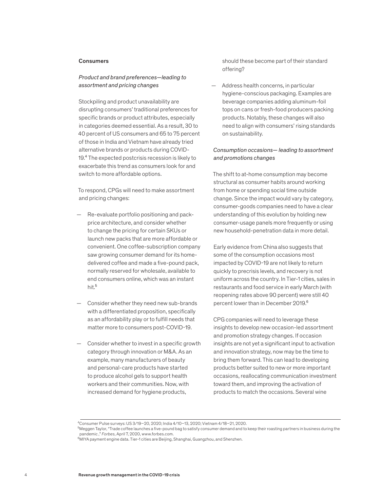#### **Consumers**

#### *Product and brand preferences—leading to assortment and pricing changes*

Stockpiling and product unavailability are disrupting consumers' traditional preferences for specific brands or product attributes, especially in categories deemed essential. As a result, 30 to 40 percent of US consumers and 65 to 75 percent of those in India and Vietnam have already tried alternative brands or products during COVID-19.<sup>4</sup> The expected postcrisis recession is likely to exacerbate this trend as consumers look for and switch to more affordable options.

To respond, CPGs will need to make assortment and pricing changes:

- Re-evaluate portfolio positioning and packprice architecture, and consider whether to change the pricing for certain SKUs or launch new packs that are more affordable or convenient. One coffee-subscription company saw growing consumer demand for its homedelivered coffee and made a five-pound pack, normally reserved for wholesale, available to end consumers online, which was an instant hit.<sup>5</sup>
- Consider whether they need new sub-brands with a differentiated proposition, specifically as an affordability play or to fulfill needs that matter more to consumers post-COVID-19.
- Consider whether to invest in a specific growth category through innovation or M&A. As an example, many manufacturers of beauty and personal-care products have started to produce alcohol gels to support health workers and their communities. Now, with increased demand for hygiene products,

should these become part of their standard offering?

— Address health concerns, in particular hygiene-conscious packaging. Examples are beverage companies adding aluminum-foil tops on cans or fresh-food producers packing products. Notably, these changes will also need to align with consumers' rising standards on sustainability.

#### *Consumption occasions— leading to assortment and promotions changes*

The shift to at-home consumption may become structural as consumer habits around working from home or spending social time outside change. Since the impact would vary by category, consumer-goods companies need to have a clear understanding of this evolution by holding new consumer-usage panels more frequently or using new household-penetration data in more detail.

Early evidence from China also suggests that some of the consumption occasions most impacted by COVID-19 are not likely to return quickly to precrisis levels, and recovery is not uniform across the country. In Tier-1 cities, sales in restaurants and food service in early March (with reopening rates above 90 percent) were still 40 percent lower than in December 2019.<sup>6</sup>

CPG companies will need to leverage these insights to develop new occasion-led assortment and promotion strategy changes. If occasion insights are not yet a significant input to activation and innovation strategy, now may be the time to bring them forward. This can lead to developing products better suited to new or more important occasions, reallocating communication investment toward them, and improving the activation of products to match the occasions. Several wine

<sup>4</sup>Consumer Pulse surveys: US 3/19–20, 2020; India 4/10–13, 2020; Vietnam 4/18–21, 2020.

<sup>&</sup>lt;sup>5</sup>Meggen Taylor, "Trade coffee launches a five-pound bag to satisfy consumer demand and to keep their roasting partners in business during the pandemic ," *Forbes*, April 7, 2020, www.forbes.com.

<sup>6</sup>MIYA payment engine data. Tier-1 cities are Beijing, Shanghai, Guangzhou, and Shenzhen.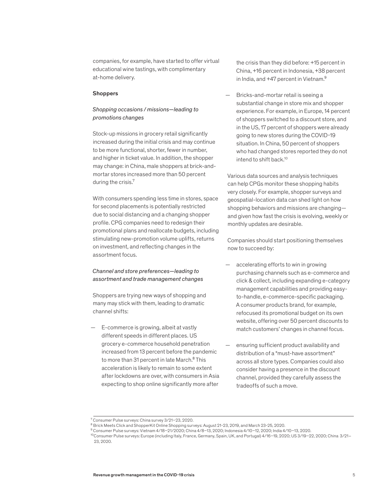companies, for example, have started to offer virtual educational wine tastings, with complimentary at-home delivery.

#### **Shoppers**

### *Shopping occasions / missions—leading to promotions changes*

Stock-up missions in grocery retail significantly increased during the initial crisis and may continue to be more functional, shorter, fewer in number, and higher in ticket value. In addition, the shopper may change: in China, male shoppers at brick-andmortar stores increased more than 50 percent during the crisis.<sup>7</sup>

With consumers spending less time in stores, space for second placements is potentially restricted due to social distancing and a changing shopper profile. CPG companies need to redesign their promotional plans and reallocate budgets, including stimulating new-promotion volume uplifts, returns on investment, and reflecting changes in the assortment focus.

#### *Channel and store preferences—leading to assortment and trade management changes*

Shoppers are trying new ways of shopping and many may stick with them, leading to dramatic channel shifts:

— E-commerce is growing, albeit at vastly different speeds in different places. US grocery e-commerce household penetration increased from 13 percent before the pandemic to more than 31 percent in late March.<sup>8</sup> This acceleration is likely to remain to some extent after lockdowns are over, with consumers in Asia expecting to shop online significantly more after

the crisis than they did before: +15 percent in China, +16 percent in Indonesia, +38 percent in India, and +47 percent in Vietnam.<sup>9</sup>

— Bricks-and-mortar retail is seeing a substantial change in store mix and shopper experience. For example, in Europe, 14 percent of shoppers switched to a discount store, and in the US, 17 percent of shoppers were already going to new stores during the COVID-19 situation. In China, 50 percent of shoppers who had changed stores reported they do not intend to shift back  $10$ 

Various data sources and analysis techniques can help CPGs monitor these shopping habits very closely. For example, shopper surveys and geospatial-location data can shed light on how shopping behaviors and missions are changing and given how fast the crisis is evolving, weekly or monthly updates are desirable.

Companies should start positioning themselves now to succeed by:

- accelerating efforts to win in growing purchasing channels such as e-commerce and click & collect, including expanding e-category management capabilities and providing easyto-handle, e-commerce-specific packaging. A consumer products brand, for example, refocused its promotional budget on its own website, offering over 50 percent discounts to match customers' changes in channel focus.
- ensuring sufficient product availability and distribution of a "must-have assortment" across all store types. Companies could also consider having a presence in the discount channel, provided they carefully assess the tradeoffs of such a move.

<sup>7</sup> Consumer Pulse surveys: China survey 3/21–23, 2020.

<sup>8</sup> Brick Meets Click and ShopperKit Online Shopping surveys: August 21-23, 2019, and March 23-25, 2020.

<sup>9</sup> Consumer Pulse surveys: Vietnam 4/18–21/2020; China 4/8–13, 2020; Indonesia 4/10–12, 2020; India 4/10–13, 2020.

<sup>10</sup>Consumer Pulse surveys: Europe (including Italy, France, Germany, Spain, UK, and Portugal) 4/16–19, 2020; US 3/19–22, 2020; China 3/21– 23, 2020.